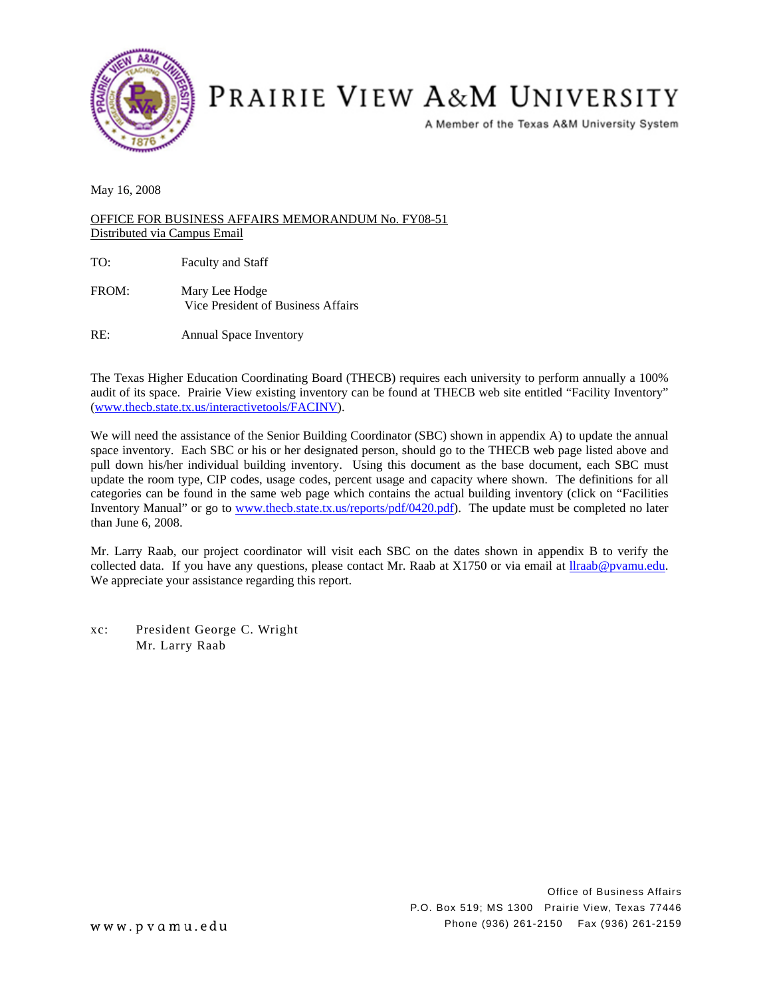

## PRAIRIE VIEW A&M UNIVERSITY

A Member of the Texas A&M University System

May 16, 2008

OFFICE FOR BUSINESS AFFAIRS MEMORANDUM No. FY08-51 Distributed via Campus Email

TO: Faculty and Staff

FROM: Mary Lee Hodge Vice President of Business Affairs

RE: Annual Space Inventory

The Texas Higher Education Coordinating Board (THECB) requires each university to perform annually a 100% audit of its space. Prairie View existing inventory can be found at THECB web site entitled "Facility Inventory" [\(www.thecb.state.tx.us/interactivetools/FACINV](http://www.thecb.state.tx.us/interactivetools/FACINV/)).

We will need the assistance of the Senior Building Coordinator (SBC) shown in appendix A) to update the annual space inventory. Each SBC or his or her designated person, should go to the THECB web page listed above and pull down his/her individual building inventory. Using this document as the base document, each SBC must update the room type, CIP codes, usage codes, percent usage and capacity where shown. The definitions for all categories can be found in the same web page which contains the actual building inventory (click on "Facilities Inventory Manual" or go to [www.thecb.state.tx.us/reports/pdf/0420.pdf\)](http://www.thecb.state.tx.us/reports/pdf/0420.pdf). The update must be completed no later than June 6, 2008.

Mr. Larry Raab, our project coordinator will visit each SBC on the dates shown in appendix B to verify the collected data. If you have any questions, please contact Mr. Raab at X1750 or via email at **[llraab@pvamu.edu](mailto:llraab@pvamu.edu)**. We appreciate your assistance regarding this report.

xc: President George C. Wright Mr. Larry Raab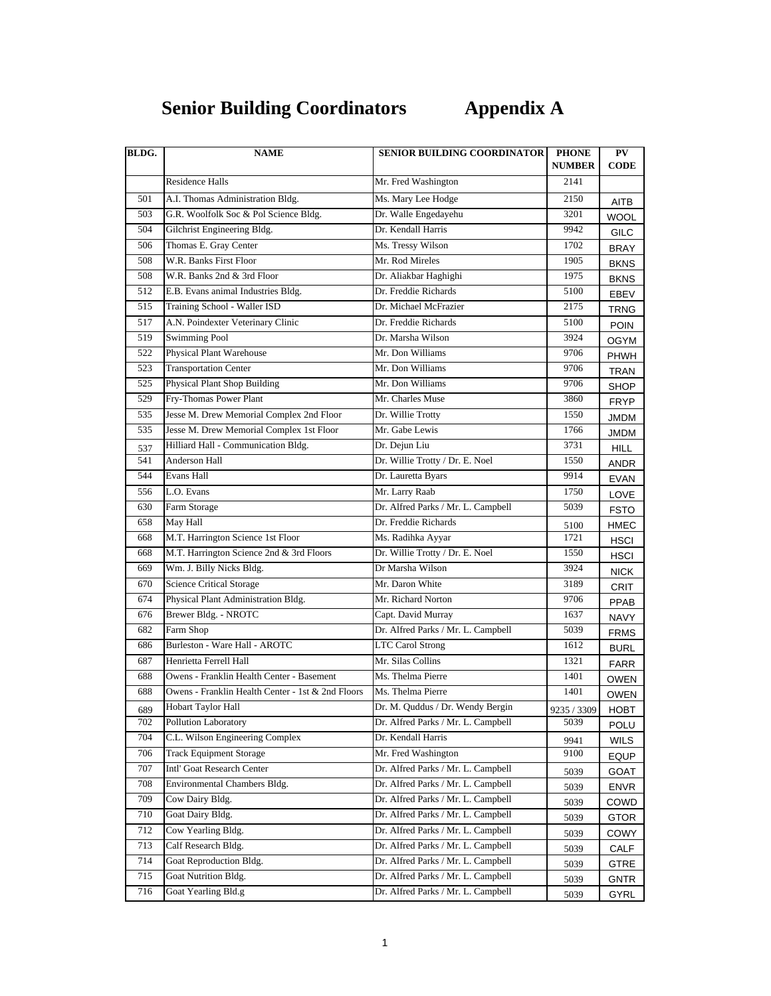## **Senior Building Coordinators Appendix A**

| <b>Residence Halls</b><br>Mr. Fred Washington<br>2141<br>A.I. Thomas Administration Bldg.<br>501<br>Ms. Mary Lee Hodge<br>2150<br><b>AITB</b><br>503<br>G.R. Woolfolk Soc & Pol Science Bldg.<br>3201<br>Dr. Walle Engedayehu<br><b>WOOL</b><br>504<br>Dr. Kendall Harris<br>Gilchrist Engineering Bldg.<br>9942<br><b>GILC</b><br>Thomas E. Gray Center<br>506<br>Ms. Tressy Wilson<br>1702<br><b>BRAY</b><br><b>W.R. Banks First Floor</b><br>Mr. Rod Mireles<br>508<br>1905<br><b>BKNS</b><br>508<br>W.R. Banks 2nd & 3rd Floor<br>Dr. Aliakbar Haghighi<br>1975<br>BKNS<br>512<br>Dr. Freddie Richards<br>E.B. Evans animal Industries Bldg.<br>5100<br><b>EBEV</b><br>Training School - Waller ISD<br>515<br>Dr. Michael McFrazier<br>2175<br><b>TRNG</b><br>A.N. Poindexter Veterinary Clinic<br>517<br>Dr. Freddie Richards<br>5100<br><b>POIN</b><br>519<br><b>Swimming Pool</b><br>Dr. Marsha Wilson<br>3924<br><b>OGYM</b><br>522<br>Physical Plant Warehouse<br>Mr. Don Williams<br>9706<br>PHWH<br>Mr. Don Williams<br>523<br><b>Transportation Center</b><br>9706<br>TRAN<br><b>Physical Plant Shop Building</b><br>Mr. Don Williams<br>525<br>9706<br>SHOP<br>Fry-Thomas Power Plant<br>529<br>Mr. Charles Muse<br>3860<br>FRYP<br>Jesse M. Drew Memorial Complex 2nd Floor<br>535<br>Dr. Willie Trotty<br>1550<br><b>JMDM</b><br>535<br>Jesse M. Drew Memorial Complex 1st Floor<br>Mr. Gabe Lewis<br>1766<br><b>JMDM</b><br>Hilliard Hall - Communication Bldg.<br>Dr. Dejun Liu<br>3731<br><b>HILL</b><br>537<br>541<br>Anderson Hall<br>Dr. Willie Trotty / Dr. E. Noel<br>1550<br>ANDR<br>544<br>Evans Hall<br>Dr. Lauretta Byars<br>9914<br>EVAN<br>L.O. Evans<br>Mr. Larry Raab<br>556<br>1750<br>LOVE<br>Farm Storage<br>630<br>Dr. Alfred Parks / Mr. L. Campbell<br>5039<br><b>FSTO</b><br>Dr. Freddie Richards<br>658<br>May Hall<br>HMEC<br>5100<br>M.T. Harrington Science 1st Floor<br>Ms. Radihka Ayyar<br>1721<br>668<br>HSCI<br>M.T. Harrington Science 2nd & 3rd Floors<br>Dr. Willie Trotty / Dr. E. Noel<br>668<br>1550<br>HSCI<br>Wm. J. Billy Nicks Bldg.<br>Dr Marsha Wilson<br>669<br>3924<br><b>NICK</b><br><b>Science Critical Storage</b><br>Mr. Daron White<br>670<br>3189<br><b>CRIT</b><br>Physical Plant Administration Bldg.<br>674<br>Mr. Richard Norton<br>9706<br><b>PPAB</b><br><b>Brewer Bldg. - NROTC</b><br>676<br>Capt. David Murray<br>1637<br><b>NAVY</b><br>Farm Shop<br>682<br>Dr. Alfred Parks / Mr. L. Campbell<br>5039<br><b>FRMS</b><br>Burleston - Ware Hall - AROTC<br>686<br><b>LTC Carol Strong</b><br>1612<br><b>BURL</b><br>Mr. Silas Collins<br>Henrietta Ferrell Hall<br>687<br>1321<br><b>FARR</b><br>688<br>Owens - Franklin Health Center - Basement<br>Ms. Thelma Pierre<br>1401<br><b>OWEN</b><br>Owens - Franklin Health Center - 1st & 2nd Floors<br>Ms. Thelma Pierre<br>688<br>1401<br><b>OWEN</b><br>Hobart Taylor Hall<br>Dr. M. Quddus / Dr. Wendy Bergin<br>689<br>9235 / 3309<br>HOBT<br>Dr. Alfred Parks / Mr. L. Campbell<br>702<br>Pollution Laboratory<br>5039<br>POLU<br>C.L. Wilson Engineering Complex<br>704<br>Dr. Kendall Harris<br>WILS<br>9941<br><b>Track Equipment Storage</b><br>706<br>Mr. Fred Washington<br>9100<br>EQUP<br>Intl' Goat Research Center<br>707<br>Dr. Alfred Parks / Mr. L. Campbell<br>GOAT<br>5039<br>708<br>Environmental Chambers Bldg.<br>Dr. Alfred Parks / Mr. L. Campbell<br>5039<br><b>ENVR</b><br>709<br>Cow Dairy Bldg.<br>Dr. Alfred Parks / Mr. L. Campbell<br>COWD<br>5039<br>Goat Dairy Bldg.<br>Dr. Alfred Parks / Mr. L. Campbell<br>710<br><b>GTOR</b><br>5039<br>712<br>Cow Yearling Bldg.<br>Dr. Alfred Parks / Mr. L. Campbell<br>COWY<br>5039<br>Calf Research Bldg.<br>Dr. Alfred Parks / Mr. L. Campbell<br>713<br>CALF<br>5039<br>Goat Reproduction Bldg.<br>Dr. Alfred Parks / Mr. L. Campbell<br>714<br>GTRE<br>5039<br>Goat Nutrition Bldg.<br>Dr. Alfred Parks / Mr. L. Campbell<br>715<br><b>GNTR</b><br>5039<br>716 | BLDG. | <b>NAME</b>         | <b>SENIOR BUILDING COORDINATOR</b> | <b>PHONE</b><br><b>NUMBER</b> | PV<br><b>CODE</b> |
|-------------------------------------------------------------------------------------------------------------------------------------------------------------------------------------------------------------------------------------------------------------------------------------------------------------------------------------------------------------------------------------------------------------------------------------------------------------------------------------------------------------------------------------------------------------------------------------------------------------------------------------------------------------------------------------------------------------------------------------------------------------------------------------------------------------------------------------------------------------------------------------------------------------------------------------------------------------------------------------------------------------------------------------------------------------------------------------------------------------------------------------------------------------------------------------------------------------------------------------------------------------------------------------------------------------------------------------------------------------------------------------------------------------------------------------------------------------------------------------------------------------------------------------------------------------------------------------------------------------------------------------------------------------------------------------------------------------------------------------------------------------------------------------------------------------------------------------------------------------------------------------------------------------------------------------------------------------------------------------------------------------------------------------------------------------------------------------------------------------------------------------------------------------------------------------------------------------------------------------------------------------------------------------------------------------------------------------------------------------------------------------------------------------------------------------------------------------------------------------------------------------------------------------------------------------------------------------------------------------------------------------------------------------------------------------------------------------------------------------------------------------------------------------------------------------------------------------------------------------------------------------------------------------------------------------------------------------------------------------------------------------------------------------------------------------------------------------------------------------------------------------------------------------------------------------------------------------------------------------------------------------------------------------------------------------------------------------------------------------------------------------------------------------------------------------------------------------------------------------------------------------------------------------------------------------------------------------------------------------------------------------------------------------------------------------------------------------------------------------------------------------------------------------------------------------------------------------------------------------------------------------------------------------------------------------------------------------------------|-------|---------------------|------------------------------------|-------------------------------|-------------------|
|                                                                                                                                                                                                                                                                                                                                                                                                                                                                                                                                                                                                                                                                                                                                                                                                                                                                                                                                                                                                                                                                                                                                                                                                                                                                                                                                                                                                                                                                                                                                                                                                                                                                                                                                                                                                                                                                                                                                                                                                                                                                                                                                                                                                                                                                                                                                                                                                                                                                                                                                                                                                                                                                                                                                                                                                                                                                                                                                                                                                                                                                                                                                                                                                                                                                                                                                                                                                                                                                                                                                                                                                                                                                                                                                                                                                                                                                                                                                                                         |       |                     |                                    |                               |                   |
|                                                                                                                                                                                                                                                                                                                                                                                                                                                                                                                                                                                                                                                                                                                                                                                                                                                                                                                                                                                                                                                                                                                                                                                                                                                                                                                                                                                                                                                                                                                                                                                                                                                                                                                                                                                                                                                                                                                                                                                                                                                                                                                                                                                                                                                                                                                                                                                                                                                                                                                                                                                                                                                                                                                                                                                                                                                                                                                                                                                                                                                                                                                                                                                                                                                                                                                                                                                                                                                                                                                                                                                                                                                                                                                                                                                                                                                                                                                                                                         |       |                     |                                    |                               |                   |
|                                                                                                                                                                                                                                                                                                                                                                                                                                                                                                                                                                                                                                                                                                                                                                                                                                                                                                                                                                                                                                                                                                                                                                                                                                                                                                                                                                                                                                                                                                                                                                                                                                                                                                                                                                                                                                                                                                                                                                                                                                                                                                                                                                                                                                                                                                                                                                                                                                                                                                                                                                                                                                                                                                                                                                                                                                                                                                                                                                                                                                                                                                                                                                                                                                                                                                                                                                                                                                                                                                                                                                                                                                                                                                                                                                                                                                                                                                                                                                         |       |                     |                                    |                               |                   |
|                                                                                                                                                                                                                                                                                                                                                                                                                                                                                                                                                                                                                                                                                                                                                                                                                                                                                                                                                                                                                                                                                                                                                                                                                                                                                                                                                                                                                                                                                                                                                                                                                                                                                                                                                                                                                                                                                                                                                                                                                                                                                                                                                                                                                                                                                                                                                                                                                                                                                                                                                                                                                                                                                                                                                                                                                                                                                                                                                                                                                                                                                                                                                                                                                                                                                                                                                                                                                                                                                                                                                                                                                                                                                                                                                                                                                                                                                                                                                                         |       |                     |                                    |                               |                   |
|                                                                                                                                                                                                                                                                                                                                                                                                                                                                                                                                                                                                                                                                                                                                                                                                                                                                                                                                                                                                                                                                                                                                                                                                                                                                                                                                                                                                                                                                                                                                                                                                                                                                                                                                                                                                                                                                                                                                                                                                                                                                                                                                                                                                                                                                                                                                                                                                                                                                                                                                                                                                                                                                                                                                                                                                                                                                                                                                                                                                                                                                                                                                                                                                                                                                                                                                                                                                                                                                                                                                                                                                                                                                                                                                                                                                                                                                                                                                                                         |       |                     |                                    |                               |                   |
|                                                                                                                                                                                                                                                                                                                                                                                                                                                                                                                                                                                                                                                                                                                                                                                                                                                                                                                                                                                                                                                                                                                                                                                                                                                                                                                                                                                                                                                                                                                                                                                                                                                                                                                                                                                                                                                                                                                                                                                                                                                                                                                                                                                                                                                                                                                                                                                                                                                                                                                                                                                                                                                                                                                                                                                                                                                                                                                                                                                                                                                                                                                                                                                                                                                                                                                                                                                                                                                                                                                                                                                                                                                                                                                                                                                                                                                                                                                                                                         |       |                     |                                    |                               |                   |
|                                                                                                                                                                                                                                                                                                                                                                                                                                                                                                                                                                                                                                                                                                                                                                                                                                                                                                                                                                                                                                                                                                                                                                                                                                                                                                                                                                                                                                                                                                                                                                                                                                                                                                                                                                                                                                                                                                                                                                                                                                                                                                                                                                                                                                                                                                                                                                                                                                                                                                                                                                                                                                                                                                                                                                                                                                                                                                                                                                                                                                                                                                                                                                                                                                                                                                                                                                                                                                                                                                                                                                                                                                                                                                                                                                                                                                                                                                                                                                         |       |                     |                                    |                               |                   |
|                                                                                                                                                                                                                                                                                                                                                                                                                                                                                                                                                                                                                                                                                                                                                                                                                                                                                                                                                                                                                                                                                                                                                                                                                                                                                                                                                                                                                                                                                                                                                                                                                                                                                                                                                                                                                                                                                                                                                                                                                                                                                                                                                                                                                                                                                                                                                                                                                                                                                                                                                                                                                                                                                                                                                                                                                                                                                                                                                                                                                                                                                                                                                                                                                                                                                                                                                                                                                                                                                                                                                                                                                                                                                                                                                                                                                                                                                                                                                                         |       |                     |                                    |                               |                   |
|                                                                                                                                                                                                                                                                                                                                                                                                                                                                                                                                                                                                                                                                                                                                                                                                                                                                                                                                                                                                                                                                                                                                                                                                                                                                                                                                                                                                                                                                                                                                                                                                                                                                                                                                                                                                                                                                                                                                                                                                                                                                                                                                                                                                                                                                                                                                                                                                                                                                                                                                                                                                                                                                                                                                                                                                                                                                                                                                                                                                                                                                                                                                                                                                                                                                                                                                                                                                                                                                                                                                                                                                                                                                                                                                                                                                                                                                                                                                                                         |       |                     |                                    |                               |                   |
|                                                                                                                                                                                                                                                                                                                                                                                                                                                                                                                                                                                                                                                                                                                                                                                                                                                                                                                                                                                                                                                                                                                                                                                                                                                                                                                                                                                                                                                                                                                                                                                                                                                                                                                                                                                                                                                                                                                                                                                                                                                                                                                                                                                                                                                                                                                                                                                                                                                                                                                                                                                                                                                                                                                                                                                                                                                                                                                                                                                                                                                                                                                                                                                                                                                                                                                                                                                                                                                                                                                                                                                                                                                                                                                                                                                                                                                                                                                                                                         |       |                     |                                    |                               |                   |
|                                                                                                                                                                                                                                                                                                                                                                                                                                                                                                                                                                                                                                                                                                                                                                                                                                                                                                                                                                                                                                                                                                                                                                                                                                                                                                                                                                                                                                                                                                                                                                                                                                                                                                                                                                                                                                                                                                                                                                                                                                                                                                                                                                                                                                                                                                                                                                                                                                                                                                                                                                                                                                                                                                                                                                                                                                                                                                                                                                                                                                                                                                                                                                                                                                                                                                                                                                                                                                                                                                                                                                                                                                                                                                                                                                                                                                                                                                                                                                         |       |                     |                                    |                               |                   |
|                                                                                                                                                                                                                                                                                                                                                                                                                                                                                                                                                                                                                                                                                                                                                                                                                                                                                                                                                                                                                                                                                                                                                                                                                                                                                                                                                                                                                                                                                                                                                                                                                                                                                                                                                                                                                                                                                                                                                                                                                                                                                                                                                                                                                                                                                                                                                                                                                                                                                                                                                                                                                                                                                                                                                                                                                                                                                                                                                                                                                                                                                                                                                                                                                                                                                                                                                                                                                                                                                                                                                                                                                                                                                                                                                                                                                                                                                                                                                                         |       |                     |                                    |                               |                   |
|                                                                                                                                                                                                                                                                                                                                                                                                                                                                                                                                                                                                                                                                                                                                                                                                                                                                                                                                                                                                                                                                                                                                                                                                                                                                                                                                                                                                                                                                                                                                                                                                                                                                                                                                                                                                                                                                                                                                                                                                                                                                                                                                                                                                                                                                                                                                                                                                                                                                                                                                                                                                                                                                                                                                                                                                                                                                                                                                                                                                                                                                                                                                                                                                                                                                                                                                                                                                                                                                                                                                                                                                                                                                                                                                                                                                                                                                                                                                                                         |       |                     |                                    |                               |                   |
|                                                                                                                                                                                                                                                                                                                                                                                                                                                                                                                                                                                                                                                                                                                                                                                                                                                                                                                                                                                                                                                                                                                                                                                                                                                                                                                                                                                                                                                                                                                                                                                                                                                                                                                                                                                                                                                                                                                                                                                                                                                                                                                                                                                                                                                                                                                                                                                                                                                                                                                                                                                                                                                                                                                                                                                                                                                                                                                                                                                                                                                                                                                                                                                                                                                                                                                                                                                                                                                                                                                                                                                                                                                                                                                                                                                                                                                                                                                                                                         |       |                     |                                    |                               |                   |
|                                                                                                                                                                                                                                                                                                                                                                                                                                                                                                                                                                                                                                                                                                                                                                                                                                                                                                                                                                                                                                                                                                                                                                                                                                                                                                                                                                                                                                                                                                                                                                                                                                                                                                                                                                                                                                                                                                                                                                                                                                                                                                                                                                                                                                                                                                                                                                                                                                                                                                                                                                                                                                                                                                                                                                                                                                                                                                                                                                                                                                                                                                                                                                                                                                                                                                                                                                                                                                                                                                                                                                                                                                                                                                                                                                                                                                                                                                                                                                         |       |                     |                                    |                               |                   |
|                                                                                                                                                                                                                                                                                                                                                                                                                                                                                                                                                                                                                                                                                                                                                                                                                                                                                                                                                                                                                                                                                                                                                                                                                                                                                                                                                                                                                                                                                                                                                                                                                                                                                                                                                                                                                                                                                                                                                                                                                                                                                                                                                                                                                                                                                                                                                                                                                                                                                                                                                                                                                                                                                                                                                                                                                                                                                                                                                                                                                                                                                                                                                                                                                                                                                                                                                                                                                                                                                                                                                                                                                                                                                                                                                                                                                                                                                                                                                                         |       |                     |                                    |                               |                   |
|                                                                                                                                                                                                                                                                                                                                                                                                                                                                                                                                                                                                                                                                                                                                                                                                                                                                                                                                                                                                                                                                                                                                                                                                                                                                                                                                                                                                                                                                                                                                                                                                                                                                                                                                                                                                                                                                                                                                                                                                                                                                                                                                                                                                                                                                                                                                                                                                                                                                                                                                                                                                                                                                                                                                                                                                                                                                                                                                                                                                                                                                                                                                                                                                                                                                                                                                                                                                                                                                                                                                                                                                                                                                                                                                                                                                                                                                                                                                                                         |       |                     |                                    |                               |                   |
|                                                                                                                                                                                                                                                                                                                                                                                                                                                                                                                                                                                                                                                                                                                                                                                                                                                                                                                                                                                                                                                                                                                                                                                                                                                                                                                                                                                                                                                                                                                                                                                                                                                                                                                                                                                                                                                                                                                                                                                                                                                                                                                                                                                                                                                                                                                                                                                                                                                                                                                                                                                                                                                                                                                                                                                                                                                                                                                                                                                                                                                                                                                                                                                                                                                                                                                                                                                                                                                                                                                                                                                                                                                                                                                                                                                                                                                                                                                                                                         |       |                     |                                    |                               |                   |
|                                                                                                                                                                                                                                                                                                                                                                                                                                                                                                                                                                                                                                                                                                                                                                                                                                                                                                                                                                                                                                                                                                                                                                                                                                                                                                                                                                                                                                                                                                                                                                                                                                                                                                                                                                                                                                                                                                                                                                                                                                                                                                                                                                                                                                                                                                                                                                                                                                                                                                                                                                                                                                                                                                                                                                                                                                                                                                                                                                                                                                                                                                                                                                                                                                                                                                                                                                                                                                                                                                                                                                                                                                                                                                                                                                                                                                                                                                                                                                         |       |                     |                                    |                               |                   |
|                                                                                                                                                                                                                                                                                                                                                                                                                                                                                                                                                                                                                                                                                                                                                                                                                                                                                                                                                                                                                                                                                                                                                                                                                                                                                                                                                                                                                                                                                                                                                                                                                                                                                                                                                                                                                                                                                                                                                                                                                                                                                                                                                                                                                                                                                                                                                                                                                                                                                                                                                                                                                                                                                                                                                                                                                                                                                                                                                                                                                                                                                                                                                                                                                                                                                                                                                                                                                                                                                                                                                                                                                                                                                                                                                                                                                                                                                                                                                                         |       |                     |                                    |                               |                   |
|                                                                                                                                                                                                                                                                                                                                                                                                                                                                                                                                                                                                                                                                                                                                                                                                                                                                                                                                                                                                                                                                                                                                                                                                                                                                                                                                                                                                                                                                                                                                                                                                                                                                                                                                                                                                                                                                                                                                                                                                                                                                                                                                                                                                                                                                                                                                                                                                                                                                                                                                                                                                                                                                                                                                                                                                                                                                                                                                                                                                                                                                                                                                                                                                                                                                                                                                                                                                                                                                                                                                                                                                                                                                                                                                                                                                                                                                                                                                                                         |       |                     |                                    |                               |                   |
|                                                                                                                                                                                                                                                                                                                                                                                                                                                                                                                                                                                                                                                                                                                                                                                                                                                                                                                                                                                                                                                                                                                                                                                                                                                                                                                                                                                                                                                                                                                                                                                                                                                                                                                                                                                                                                                                                                                                                                                                                                                                                                                                                                                                                                                                                                                                                                                                                                                                                                                                                                                                                                                                                                                                                                                                                                                                                                                                                                                                                                                                                                                                                                                                                                                                                                                                                                                                                                                                                                                                                                                                                                                                                                                                                                                                                                                                                                                                                                         |       |                     |                                    |                               |                   |
|                                                                                                                                                                                                                                                                                                                                                                                                                                                                                                                                                                                                                                                                                                                                                                                                                                                                                                                                                                                                                                                                                                                                                                                                                                                                                                                                                                                                                                                                                                                                                                                                                                                                                                                                                                                                                                                                                                                                                                                                                                                                                                                                                                                                                                                                                                                                                                                                                                                                                                                                                                                                                                                                                                                                                                                                                                                                                                                                                                                                                                                                                                                                                                                                                                                                                                                                                                                                                                                                                                                                                                                                                                                                                                                                                                                                                                                                                                                                                                         |       |                     |                                    |                               |                   |
|                                                                                                                                                                                                                                                                                                                                                                                                                                                                                                                                                                                                                                                                                                                                                                                                                                                                                                                                                                                                                                                                                                                                                                                                                                                                                                                                                                                                                                                                                                                                                                                                                                                                                                                                                                                                                                                                                                                                                                                                                                                                                                                                                                                                                                                                                                                                                                                                                                                                                                                                                                                                                                                                                                                                                                                                                                                                                                                                                                                                                                                                                                                                                                                                                                                                                                                                                                                                                                                                                                                                                                                                                                                                                                                                                                                                                                                                                                                                                                         |       |                     |                                    |                               |                   |
|                                                                                                                                                                                                                                                                                                                                                                                                                                                                                                                                                                                                                                                                                                                                                                                                                                                                                                                                                                                                                                                                                                                                                                                                                                                                                                                                                                                                                                                                                                                                                                                                                                                                                                                                                                                                                                                                                                                                                                                                                                                                                                                                                                                                                                                                                                                                                                                                                                                                                                                                                                                                                                                                                                                                                                                                                                                                                                                                                                                                                                                                                                                                                                                                                                                                                                                                                                                                                                                                                                                                                                                                                                                                                                                                                                                                                                                                                                                                                                         |       |                     |                                    |                               |                   |
|                                                                                                                                                                                                                                                                                                                                                                                                                                                                                                                                                                                                                                                                                                                                                                                                                                                                                                                                                                                                                                                                                                                                                                                                                                                                                                                                                                                                                                                                                                                                                                                                                                                                                                                                                                                                                                                                                                                                                                                                                                                                                                                                                                                                                                                                                                                                                                                                                                                                                                                                                                                                                                                                                                                                                                                                                                                                                                                                                                                                                                                                                                                                                                                                                                                                                                                                                                                                                                                                                                                                                                                                                                                                                                                                                                                                                                                                                                                                                                         |       |                     |                                    |                               |                   |
|                                                                                                                                                                                                                                                                                                                                                                                                                                                                                                                                                                                                                                                                                                                                                                                                                                                                                                                                                                                                                                                                                                                                                                                                                                                                                                                                                                                                                                                                                                                                                                                                                                                                                                                                                                                                                                                                                                                                                                                                                                                                                                                                                                                                                                                                                                                                                                                                                                                                                                                                                                                                                                                                                                                                                                                                                                                                                                                                                                                                                                                                                                                                                                                                                                                                                                                                                                                                                                                                                                                                                                                                                                                                                                                                                                                                                                                                                                                                                                         |       |                     |                                    |                               |                   |
|                                                                                                                                                                                                                                                                                                                                                                                                                                                                                                                                                                                                                                                                                                                                                                                                                                                                                                                                                                                                                                                                                                                                                                                                                                                                                                                                                                                                                                                                                                                                                                                                                                                                                                                                                                                                                                                                                                                                                                                                                                                                                                                                                                                                                                                                                                                                                                                                                                                                                                                                                                                                                                                                                                                                                                                                                                                                                                                                                                                                                                                                                                                                                                                                                                                                                                                                                                                                                                                                                                                                                                                                                                                                                                                                                                                                                                                                                                                                                                         |       |                     |                                    |                               |                   |
|                                                                                                                                                                                                                                                                                                                                                                                                                                                                                                                                                                                                                                                                                                                                                                                                                                                                                                                                                                                                                                                                                                                                                                                                                                                                                                                                                                                                                                                                                                                                                                                                                                                                                                                                                                                                                                                                                                                                                                                                                                                                                                                                                                                                                                                                                                                                                                                                                                                                                                                                                                                                                                                                                                                                                                                                                                                                                                                                                                                                                                                                                                                                                                                                                                                                                                                                                                                                                                                                                                                                                                                                                                                                                                                                                                                                                                                                                                                                                                         |       |                     |                                    |                               |                   |
|                                                                                                                                                                                                                                                                                                                                                                                                                                                                                                                                                                                                                                                                                                                                                                                                                                                                                                                                                                                                                                                                                                                                                                                                                                                                                                                                                                                                                                                                                                                                                                                                                                                                                                                                                                                                                                                                                                                                                                                                                                                                                                                                                                                                                                                                                                                                                                                                                                                                                                                                                                                                                                                                                                                                                                                                                                                                                                                                                                                                                                                                                                                                                                                                                                                                                                                                                                                                                                                                                                                                                                                                                                                                                                                                                                                                                                                                                                                                                                         |       |                     |                                    |                               |                   |
|                                                                                                                                                                                                                                                                                                                                                                                                                                                                                                                                                                                                                                                                                                                                                                                                                                                                                                                                                                                                                                                                                                                                                                                                                                                                                                                                                                                                                                                                                                                                                                                                                                                                                                                                                                                                                                                                                                                                                                                                                                                                                                                                                                                                                                                                                                                                                                                                                                                                                                                                                                                                                                                                                                                                                                                                                                                                                                                                                                                                                                                                                                                                                                                                                                                                                                                                                                                                                                                                                                                                                                                                                                                                                                                                                                                                                                                                                                                                                                         |       |                     |                                    |                               |                   |
|                                                                                                                                                                                                                                                                                                                                                                                                                                                                                                                                                                                                                                                                                                                                                                                                                                                                                                                                                                                                                                                                                                                                                                                                                                                                                                                                                                                                                                                                                                                                                                                                                                                                                                                                                                                                                                                                                                                                                                                                                                                                                                                                                                                                                                                                                                                                                                                                                                                                                                                                                                                                                                                                                                                                                                                                                                                                                                                                                                                                                                                                                                                                                                                                                                                                                                                                                                                                                                                                                                                                                                                                                                                                                                                                                                                                                                                                                                                                                                         |       |                     |                                    |                               |                   |
|                                                                                                                                                                                                                                                                                                                                                                                                                                                                                                                                                                                                                                                                                                                                                                                                                                                                                                                                                                                                                                                                                                                                                                                                                                                                                                                                                                                                                                                                                                                                                                                                                                                                                                                                                                                                                                                                                                                                                                                                                                                                                                                                                                                                                                                                                                                                                                                                                                                                                                                                                                                                                                                                                                                                                                                                                                                                                                                                                                                                                                                                                                                                                                                                                                                                                                                                                                                                                                                                                                                                                                                                                                                                                                                                                                                                                                                                                                                                                                         |       |                     |                                    |                               |                   |
|                                                                                                                                                                                                                                                                                                                                                                                                                                                                                                                                                                                                                                                                                                                                                                                                                                                                                                                                                                                                                                                                                                                                                                                                                                                                                                                                                                                                                                                                                                                                                                                                                                                                                                                                                                                                                                                                                                                                                                                                                                                                                                                                                                                                                                                                                                                                                                                                                                                                                                                                                                                                                                                                                                                                                                                                                                                                                                                                                                                                                                                                                                                                                                                                                                                                                                                                                                                                                                                                                                                                                                                                                                                                                                                                                                                                                                                                                                                                                                         |       |                     |                                    |                               |                   |
|                                                                                                                                                                                                                                                                                                                                                                                                                                                                                                                                                                                                                                                                                                                                                                                                                                                                                                                                                                                                                                                                                                                                                                                                                                                                                                                                                                                                                                                                                                                                                                                                                                                                                                                                                                                                                                                                                                                                                                                                                                                                                                                                                                                                                                                                                                                                                                                                                                                                                                                                                                                                                                                                                                                                                                                                                                                                                                                                                                                                                                                                                                                                                                                                                                                                                                                                                                                                                                                                                                                                                                                                                                                                                                                                                                                                                                                                                                                                                                         |       |                     |                                    |                               |                   |
|                                                                                                                                                                                                                                                                                                                                                                                                                                                                                                                                                                                                                                                                                                                                                                                                                                                                                                                                                                                                                                                                                                                                                                                                                                                                                                                                                                                                                                                                                                                                                                                                                                                                                                                                                                                                                                                                                                                                                                                                                                                                                                                                                                                                                                                                                                                                                                                                                                                                                                                                                                                                                                                                                                                                                                                                                                                                                                                                                                                                                                                                                                                                                                                                                                                                                                                                                                                                                                                                                                                                                                                                                                                                                                                                                                                                                                                                                                                                                                         |       |                     |                                    |                               |                   |
|                                                                                                                                                                                                                                                                                                                                                                                                                                                                                                                                                                                                                                                                                                                                                                                                                                                                                                                                                                                                                                                                                                                                                                                                                                                                                                                                                                                                                                                                                                                                                                                                                                                                                                                                                                                                                                                                                                                                                                                                                                                                                                                                                                                                                                                                                                                                                                                                                                                                                                                                                                                                                                                                                                                                                                                                                                                                                                                                                                                                                                                                                                                                                                                                                                                                                                                                                                                                                                                                                                                                                                                                                                                                                                                                                                                                                                                                                                                                                                         |       |                     |                                    |                               |                   |
|                                                                                                                                                                                                                                                                                                                                                                                                                                                                                                                                                                                                                                                                                                                                                                                                                                                                                                                                                                                                                                                                                                                                                                                                                                                                                                                                                                                                                                                                                                                                                                                                                                                                                                                                                                                                                                                                                                                                                                                                                                                                                                                                                                                                                                                                                                                                                                                                                                                                                                                                                                                                                                                                                                                                                                                                                                                                                                                                                                                                                                                                                                                                                                                                                                                                                                                                                                                                                                                                                                                                                                                                                                                                                                                                                                                                                                                                                                                                                                         |       |                     |                                    |                               |                   |
|                                                                                                                                                                                                                                                                                                                                                                                                                                                                                                                                                                                                                                                                                                                                                                                                                                                                                                                                                                                                                                                                                                                                                                                                                                                                                                                                                                                                                                                                                                                                                                                                                                                                                                                                                                                                                                                                                                                                                                                                                                                                                                                                                                                                                                                                                                                                                                                                                                                                                                                                                                                                                                                                                                                                                                                                                                                                                                                                                                                                                                                                                                                                                                                                                                                                                                                                                                                                                                                                                                                                                                                                                                                                                                                                                                                                                                                                                                                                                                         |       |                     |                                    |                               |                   |
|                                                                                                                                                                                                                                                                                                                                                                                                                                                                                                                                                                                                                                                                                                                                                                                                                                                                                                                                                                                                                                                                                                                                                                                                                                                                                                                                                                                                                                                                                                                                                                                                                                                                                                                                                                                                                                                                                                                                                                                                                                                                                                                                                                                                                                                                                                                                                                                                                                                                                                                                                                                                                                                                                                                                                                                                                                                                                                                                                                                                                                                                                                                                                                                                                                                                                                                                                                                                                                                                                                                                                                                                                                                                                                                                                                                                                                                                                                                                                                         |       |                     |                                    |                               |                   |
|                                                                                                                                                                                                                                                                                                                                                                                                                                                                                                                                                                                                                                                                                                                                                                                                                                                                                                                                                                                                                                                                                                                                                                                                                                                                                                                                                                                                                                                                                                                                                                                                                                                                                                                                                                                                                                                                                                                                                                                                                                                                                                                                                                                                                                                                                                                                                                                                                                                                                                                                                                                                                                                                                                                                                                                                                                                                                                                                                                                                                                                                                                                                                                                                                                                                                                                                                                                                                                                                                                                                                                                                                                                                                                                                                                                                                                                                                                                                                                         |       |                     |                                    |                               |                   |
|                                                                                                                                                                                                                                                                                                                                                                                                                                                                                                                                                                                                                                                                                                                                                                                                                                                                                                                                                                                                                                                                                                                                                                                                                                                                                                                                                                                                                                                                                                                                                                                                                                                                                                                                                                                                                                                                                                                                                                                                                                                                                                                                                                                                                                                                                                                                                                                                                                                                                                                                                                                                                                                                                                                                                                                                                                                                                                                                                                                                                                                                                                                                                                                                                                                                                                                                                                                                                                                                                                                                                                                                                                                                                                                                                                                                                                                                                                                                                                         |       |                     |                                    |                               |                   |
|                                                                                                                                                                                                                                                                                                                                                                                                                                                                                                                                                                                                                                                                                                                                                                                                                                                                                                                                                                                                                                                                                                                                                                                                                                                                                                                                                                                                                                                                                                                                                                                                                                                                                                                                                                                                                                                                                                                                                                                                                                                                                                                                                                                                                                                                                                                                                                                                                                                                                                                                                                                                                                                                                                                                                                                                                                                                                                                                                                                                                                                                                                                                                                                                                                                                                                                                                                                                                                                                                                                                                                                                                                                                                                                                                                                                                                                                                                                                                                         |       |                     |                                    |                               |                   |
|                                                                                                                                                                                                                                                                                                                                                                                                                                                                                                                                                                                                                                                                                                                                                                                                                                                                                                                                                                                                                                                                                                                                                                                                                                                                                                                                                                                                                                                                                                                                                                                                                                                                                                                                                                                                                                                                                                                                                                                                                                                                                                                                                                                                                                                                                                                                                                                                                                                                                                                                                                                                                                                                                                                                                                                                                                                                                                                                                                                                                                                                                                                                                                                                                                                                                                                                                                                                                                                                                                                                                                                                                                                                                                                                                                                                                                                                                                                                                                         |       |                     |                                    |                               |                   |
|                                                                                                                                                                                                                                                                                                                                                                                                                                                                                                                                                                                                                                                                                                                                                                                                                                                                                                                                                                                                                                                                                                                                                                                                                                                                                                                                                                                                                                                                                                                                                                                                                                                                                                                                                                                                                                                                                                                                                                                                                                                                                                                                                                                                                                                                                                                                                                                                                                                                                                                                                                                                                                                                                                                                                                                                                                                                                                                                                                                                                                                                                                                                                                                                                                                                                                                                                                                                                                                                                                                                                                                                                                                                                                                                                                                                                                                                                                                                                                         |       |                     |                                    |                               |                   |
|                                                                                                                                                                                                                                                                                                                                                                                                                                                                                                                                                                                                                                                                                                                                                                                                                                                                                                                                                                                                                                                                                                                                                                                                                                                                                                                                                                                                                                                                                                                                                                                                                                                                                                                                                                                                                                                                                                                                                                                                                                                                                                                                                                                                                                                                                                                                                                                                                                                                                                                                                                                                                                                                                                                                                                                                                                                                                                                                                                                                                                                                                                                                                                                                                                                                                                                                                                                                                                                                                                                                                                                                                                                                                                                                                                                                                                                                                                                                                                         |       |                     |                                    |                               |                   |
|                                                                                                                                                                                                                                                                                                                                                                                                                                                                                                                                                                                                                                                                                                                                                                                                                                                                                                                                                                                                                                                                                                                                                                                                                                                                                                                                                                                                                                                                                                                                                                                                                                                                                                                                                                                                                                                                                                                                                                                                                                                                                                                                                                                                                                                                                                                                                                                                                                                                                                                                                                                                                                                                                                                                                                                                                                                                                                                                                                                                                                                                                                                                                                                                                                                                                                                                                                                                                                                                                                                                                                                                                                                                                                                                                                                                                                                                                                                                                                         |       |                     |                                    |                               |                   |
|                                                                                                                                                                                                                                                                                                                                                                                                                                                                                                                                                                                                                                                                                                                                                                                                                                                                                                                                                                                                                                                                                                                                                                                                                                                                                                                                                                                                                                                                                                                                                                                                                                                                                                                                                                                                                                                                                                                                                                                                                                                                                                                                                                                                                                                                                                                                                                                                                                                                                                                                                                                                                                                                                                                                                                                                                                                                                                                                                                                                                                                                                                                                                                                                                                                                                                                                                                                                                                                                                                                                                                                                                                                                                                                                                                                                                                                                                                                                                                         |       | Goat Yearling Bld.g | Dr. Alfred Parks / Mr. L. Campbell | 5039                          | GYRL              |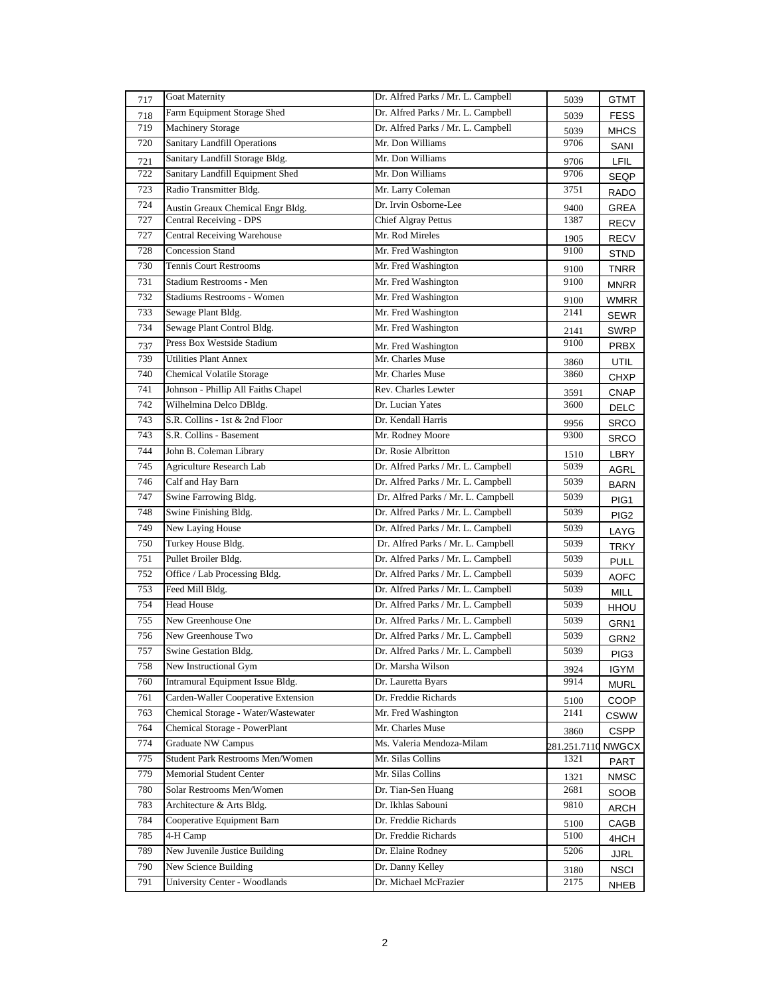| 717 | <b>Goat Maternity</b>                   | Dr. Alfred Parks / Mr. L. Campbell | 5039         | GTMT             |
|-----|-----------------------------------------|------------------------------------|--------------|------------------|
| 718 | Farm Equipment Storage Shed             | Dr. Alfred Parks / Mr. L. Campbell | 5039         | <b>FESS</b>      |
| 719 | <b>Machinery Storage</b>                | Dr. Alfred Parks / Mr. L. Campbell | 5039         | <b>MHCS</b>      |
| 720 | Sanitary Landfill Operations            | Mr. Don Williams                   | 9706         | SANI             |
| 721 | Sanitary Landfill Storage Bldg.         | Mr. Don Williams                   | 9706         | LFIL             |
| 722 | Sanitary Landfill Equipment Shed        | Mr. Don Williams                   | 9706         | SEQP             |
| 723 | Radio Transmitter Bldg.                 | Mr. Larry Coleman                  | 3751         | RADO             |
| 724 | Austin Greaux Chemical Engr Bldg.       | Dr. Irvin Osborne-Lee              | 9400         | GREA             |
| 727 | Central Receiving - DPS                 | <b>Chief Algray Pettus</b>         | 1387         | <b>RECV</b>      |
| 727 | <b>Central Receiving Warehouse</b>      | Mr. Rod Mireles                    | 1905         | RECV             |
| 728 | <b>Concession Stand</b>                 | Mr. Fred Washington                | 9100         | <b>STND</b>      |
| 730 | <b>Tennis Court Restrooms</b>           | Mr. Fred Washington                | 9100         | TNRR             |
| 731 | Stadium Restrooms - Men                 | Mr. Fred Washington                | 9100         | <b>MNRR</b>      |
| 732 | <b>Stadiums Restrooms - Women</b>       | Mr. Fred Washington                | 9100         | <b>WMRR</b>      |
| 733 | Sewage Plant Bldg.                      | Mr. Fred Washington                | 2141         | <b>SEWR</b>      |
| 734 | Sewage Plant Control Bldg.              | Mr. Fred Washington                | 2141         | SWRP             |
| 737 | Press Box Westside Stadium              | Mr. Fred Washington                | 9100         | <b>PRBX</b>      |
| 739 | <b>Utilities Plant Annex</b>            | Mr. Charles Muse                   | 3860         | UTIL             |
| 740 | <b>Chemical Volatile Storage</b>        | Mr. Charles Muse                   | 3860         | CHXP             |
| 741 | Johnson - Phillip All Faiths Chapel     | Rev. Charles Lewter                | 3591         | <b>CNAP</b>      |
| 742 | Wilhelmina Delco DBldg.                 | Dr. Lucian Yates                   | 3600         | DELC             |
| 743 | S.R. Collins - 1st & 2nd Floor          | Dr. Kendall Harris                 | 9956         | <b>SRCO</b>      |
| 743 | S.R. Collins - Basement                 | Mr. Rodney Moore                   | 9300         | <b>SRCO</b>      |
| 744 | John B. Coleman Library                 | Dr. Rosie Albritton                | 1510         | LBRY             |
| 745 | Agriculture Research Lab                | Dr. Alfred Parks / Mr. L. Campbell | 5039         | AGRL             |
| 746 | Calf and Hay Barn                       | Dr. Alfred Parks / Mr. L. Campbell | 5039         | BARN             |
| 747 | Swine Farrowing Bldg.                   | Dr. Alfred Parks / Mr. L. Campbell | 5039         | PIG1             |
| 748 | Swine Finishing Bldg.                   | Dr. Alfred Parks / Mr. L. Campbell | 5039         | PIG <sub>2</sub> |
| 749 | New Laying House                        | Dr. Alfred Parks / Mr. L. Campbell | 5039         | LAYG             |
| 750 | Turkey House Bldg.                      | Dr. Alfred Parks / Mr. L. Campbell | 5039         | <b>TRKY</b>      |
| 751 | Pullet Broiler Bldg.                    | Dr. Alfred Parks / Mr. L. Campbell | 5039         | <b>PULL</b>      |
| 752 | Office / Lab Processing Bldg.           | Dr. Alfred Parks / Mr. L. Campbell | 5039         | <b>AOFC</b>      |
| 753 | Feed Mill Bldg.                         | Dr. Alfred Parks / Mr. L. Campbell | 5039         | <b>MILL</b>      |
| 754 | <b>Head House</b>                       | Dr. Alfred Parks / Mr. L. Campbell | 5039         | <b>HHOU</b>      |
| 755 | New Greenhouse One                      | Dr. Alfred Parks / Mr. L. Campbell | 5039         | GRN1             |
| 756 | New Greenhouse Two                      | Dr. Alfred Parks / Mr. L. Campbell | 5039         | GRN2             |
| 757 | Swine Gestation Bldg.                   | Dr. Alfred Parks / Mr. L. Campbell | 5039         | PIG3             |
| 758 | New Instructional Gym                   | Dr. Marsha Wilson                  | 3924         | IGYM             |
| 760 | Intramural Equipment Issue Bldg.        | Dr. Lauretta Byars                 | 9914         | <b>MURL</b>      |
| 761 | Carden-Waller Cooperative Extension     | Dr. Freddie Richards               | 5100         | COOP             |
| 763 | Chemical Storage - Water/Wastewater     | Mr. Fred Washington                | 2141         | <b>CSWW</b>      |
| 764 | Chemical Storage - PowerPlant           | Mr. Charles Muse                   | 3860         | <b>CSPP</b>      |
| 774 | Graduate NW Campus                      | Ms. Valeria Mendoza-Milam          | 281.251.7110 | <b>NWGCX</b>     |
| 775 | <b>Student Park Restrooms Men/Women</b> | Mr. Silas Collins                  | 1321         | PART             |
| 779 | Memorial Student Center                 | Mr. Silas Collins                  | 1321         | <b>NMSC</b>      |
| 780 | Solar Restrooms Men/Women               | Dr. Tian-Sen Huang                 | 2681         | SOOB             |
| 783 | Architecture & Arts Bldg.               | Dr. Ikhlas Sabouni                 | 9810         | ARCH             |
| 784 | Cooperative Equipment Barn              | Dr. Freddie Richards               | 5100         | CAGB             |
| 785 | 4-H Camp                                | Dr. Freddie Richards               | 5100         | 4HCH             |
| 789 | New Juvenile Justice Building           | Dr. Elaine Rodney                  | 5206         | <b>JJRL</b>      |
| 790 | New Science Building                    | Dr. Danny Kelley                   | 3180         | <b>NSCI</b>      |
| 791 | <b>University Center - Woodlands</b>    | Dr. Michael McFrazier              | 2175         | NHEB             |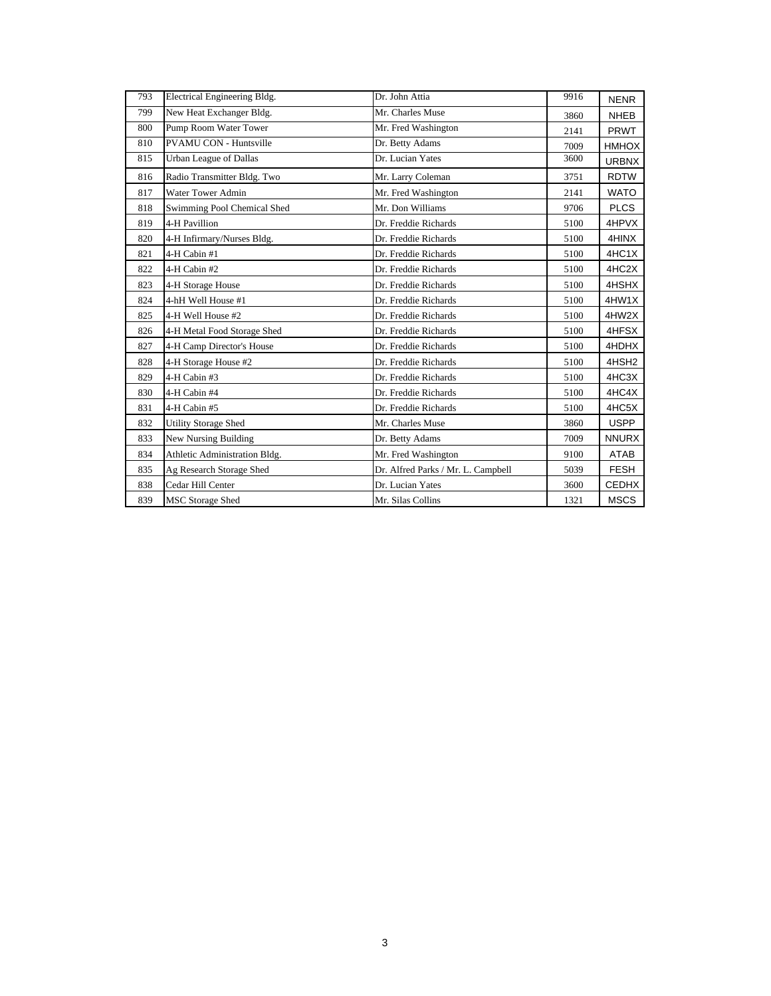| 793 | Electrical Engineering Bldg.  | Dr. John Attia                     | 9916 | <b>NENR</b>       |
|-----|-------------------------------|------------------------------------|------|-------------------|
| 799 | New Heat Exchanger Bldg.      | Mr. Charles Muse                   | 3860 | <b>NHEB</b>       |
| 800 | Pump Room Water Tower         | Mr. Fred Washington                | 2141 | <b>PRWT</b>       |
| 810 | <b>PVAMU CON - Huntsville</b> | Dr. Betty Adams                    | 7009 | <b>HMHOX</b>      |
| 815 | <b>Urban League of Dallas</b> | Dr. Lucian Yates                   | 3600 | <b>URBNX</b>      |
| 816 | Radio Transmitter Bldg. Two   | Mr. Larry Coleman                  | 3751 | <b>RDTW</b>       |
| 817 | <b>Water Tower Admin</b>      | Mr. Fred Washington                | 2141 | <b>WATO</b>       |
| 818 | Swimming Pool Chemical Shed   | Mr. Don Williams                   | 9706 | <b>PLCS</b>       |
| 819 | 4-H Pavillion                 | Dr. Freddie Richards               | 5100 | 4HPVX             |
| 820 | 4-H Infirmary/Nurses Bldg.    | Dr. Freddie Richards               | 5100 | 4HINX             |
| 821 | 4-H Cabin #1                  | Dr. Freddie Richards               | 5100 | 4HC1X             |
| 822 | 4-H Cabin #2                  | Dr. Freddie Richards               | 5100 | 4HC2X             |
| 823 | 4-H Storage House             | Dr. Freddie Richards               | 5100 | 4HSHX             |
| 824 | 4-hH Well House #1            | Dr. Freddie Richards               | 5100 | 4HW1X             |
| 825 | 4-H Well House #2             | Dr. Freddie Richards               | 5100 | 4HW2X             |
| 826 | 4-H Metal Food Storage Shed   | Dr. Freddie Richards               | 5100 | 4HFSX             |
| 827 | 4-H Camp Director's House     | Dr. Freddie Richards               | 5100 | 4HDHX             |
| 828 | 4-H Storage House #2          | Dr. Freddie Richards               | 5100 | 4HSH <sub>2</sub> |
| 829 | 4-H Cabin #3                  | Dr. Freddie Richards               | 5100 | 4HC3X             |
| 830 | 4-H Cabin #4                  | Dr. Freddie Richards               | 5100 | 4HC4X             |
| 831 | 4-H Cabin #5                  | Dr. Freddie Richards               | 5100 | 4HC5X             |
| 832 | <b>Utility Storage Shed</b>   | Mr. Charles Muse                   | 3860 | <b>USPP</b>       |
| 833 | <b>New Nursing Building</b>   | Dr. Betty Adams                    | 7009 | <b>NNURX</b>      |
| 834 | Athletic Administration Bldg. | Mr. Fred Washington                | 9100 | ATAB              |
| 835 | Ag Research Storage Shed      | Dr. Alfred Parks / Mr. L. Campbell | 5039 | <b>FESH</b>       |
| 838 | Cedar Hill Center             | Dr. Lucian Yates                   | 3600 | <b>CEDHX</b>      |
| 839 | <b>MSC Storage Shed</b>       | Mr. Silas Collins                  | 1321 | <b>MSCS</b>       |